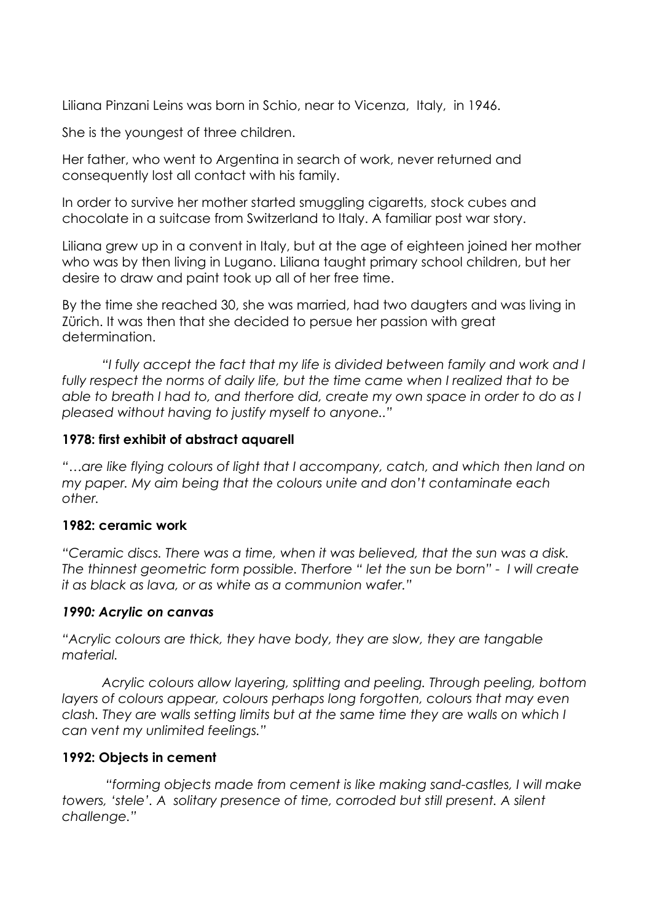Liliana Pinzani Leins was born in Schio, near to Vicenza, Italy, in 1946.

She is the youngest of three children.

Her father, who went to Argentina in search of work, never returned and consequently lost all contact with his family.

In order to survive her mother started smuggling cigaretts, stock cubes and chocolate in a suitcase from Switzerland to Italy. A familiar post war story.

Liliana grew up in a convent in Italy, but at the age of eighteen joined her mother who was by then living in Lugano. Liliana taught primary school children, but her desire to draw and paint took up all of her free time.

By the time she reached 30, she was married, had two daugters and was living in Zürich. It was then that she decided to persue her passion with great determination.

 *"I fully accept the fact that my life is divided between family and work and I*  fully respect the norms of daily life, but the time came when I realized that to be *able to breath I had to, and therfore did, create my own space in order to do as I pleased without having to justify myself to anyone.."*

## **1978: first exhibit of abstract aquarell**

*"…are like flying colours of light that I accompany, catch, and which then land on my paper. My aim being that the colours unite and don't contaminate each other.*

## **1982: ceramic work**

*"Ceramic discs. There was a time, when it was believed, that the sun was a disk. The thinnest geometric form possible. Therfore " let the sun be born" - I will create it as black as lava, or as white as a communion wafer."*

## *1990: Acrylic on canvas*

*"Acrylic colours are thick, they have body, they are slow, they are tangable material.*

 *Acrylic colours allow layering, splitting and peeling. Through peeling, bottom layers of colours appear, colours perhaps long forgotten, colours that may even clash. They are walls setting limits but at the same time they are walls on which I can vent my unlimited feelings."*

## **1992: Objects in cement**

 *"forming objects made from cement is like making sand-castles, I will make*  towers, 'stele'. A solitary presence of time, corroded but still present. A silent *challenge."*